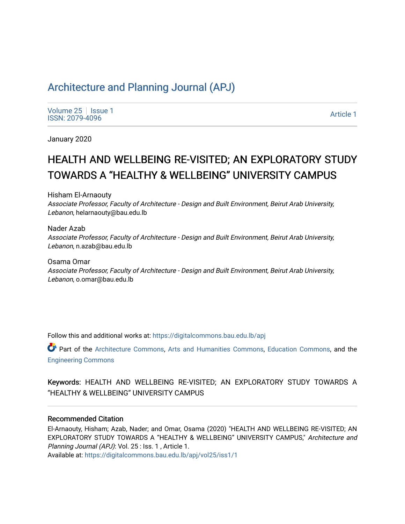# [Architecture and Planning Journal \(APJ\)](https://digitalcommons.bau.edu.lb/apj)

[Volume 25](https://digitalcommons.bau.edu.lb/apj/vol25) | [Issue 1](https://digitalcommons.bau.edu.lb/apj/vol25/iss1) Produce 23 | ISSN: 1<br>ISSN: 2079-4096 Article 1

January 2020

# HEALTH AND WELLBEING RE-VISITED; AN EXPLORATORY STUDY TOWARDS A "HEALTHY & WELLBEING" UNIVERSITY CAMPUS

Hisham El-Arnaouty

Associate Professor, Faculty of Architecture - Design and Built Environment, Beirut Arab University, Lebanon, helarnaouty@bau.edu.lb

Nader Azab Associate Professor, Faculty of Architecture - Design and Built Environment, Beirut Arab University, Lebanon, n.azab@bau.edu.lb

Osama Omar Associate Professor, Faculty of Architecture - Design and Built Environment, Beirut Arab University, Lebanon, o.omar@bau.edu.lb

Follow this and additional works at: [https://digitalcommons.bau.edu.lb/apj](https://digitalcommons.bau.edu.lb/apj?utm_source=digitalcommons.bau.edu.lb%2Fapj%2Fvol25%2Fiss1%2F1&utm_medium=PDF&utm_campaign=PDFCoverPages) 

Part of the [Architecture Commons](http://network.bepress.com/hgg/discipline/773?utm_source=digitalcommons.bau.edu.lb%2Fapj%2Fvol25%2Fiss1%2F1&utm_medium=PDF&utm_campaign=PDFCoverPages), [Arts and Humanities Commons,](http://network.bepress.com/hgg/discipline/438?utm_source=digitalcommons.bau.edu.lb%2Fapj%2Fvol25%2Fiss1%2F1&utm_medium=PDF&utm_campaign=PDFCoverPages) [Education Commons](http://network.bepress.com/hgg/discipline/784?utm_source=digitalcommons.bau.edu.lb%2Fapj%2Fvol25%2Fiss1%2F1&utm_medium=PDF&utm_campaign=PDFCoverPages), and the [Engineering Commons](http://network.bepress.com/hgg/discipline/217?utm_source=digitalcommons.bau.edu.lb%2Fapj%2Fvol25%2Fiss1%2F1&utm_medium=PDF&utm_campaign=PDFCoverPages) 

Keywords: HEALTH AND WELLBEING RE-VISITED; AN EXPLORATORY STUDY TOWARDS A "HEALTHY & WELLBEING" UNIVERSITY CAMPUS

## Recommended Citation

El-Arnaouty, Hisham; Azab, Nader; and Omar, Osama (2020) "HEALTH AND WELLBEING RE-VISITED; AN EXPLORATORY STUDY TOWARDS A "HEALTHY & WELLBEING" UNIVERSITY CAMPUS," Architecture and Planning Journal (APJ): Vol. 25 : Iss. 1 , Article 1.

Available at: [https://digitalcommons.bau.edu.lb/apj/vol25/iss1/1](https://digitalcommons.bau.edu.lb/apj/vol25/iss1/1?utm_source=digitalcommons.bau.edu.lb%2Fapj%2Fvol25%2Fiss1%2F1&utm_medium=PDF&utm_campaign=PDFCoverPages)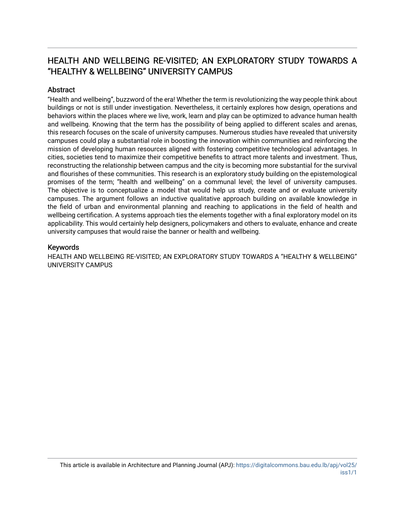# HEALTH AND WELLBEING RE-VISITED; AN EXPLORATORY STUDY TOWARDS A "HEALTHY & WELLBEING" UNIVERSITY CAMPUS

# **Abstract**

"Health and wellbeing", buzzword of the era! Whether the term is revolutionizing the way people think about buildings or not is still under investigation. Nevertheless, it certainly explores how design, operations and behaviors within the places where we live, work, learn and play can be optimized to advance human health and wellbeing. Knowing that the term has the possibility of being applied to different scales and arenas, this research focuses on the scale of university campuses. Numerous studies have revealed that university campuses could play a substantial role in boosting the innovation within communities and reinforcing the mission of developing human resources aligned with fostering competitive technological advantages. In cities, societies tend to maximize their competitive benefits to attract more talents and investment. Thus, reconstructing the relationship between campus and the city is becoming more substantial for the survival and flourishes of these communities. This research is an exploratory study building on the epistemological promises of the term; "health and wellbeing" on a communal level; the level of university campuses. The objective is to conceptualize a model that would help us study, create and or evaluate university campuses. The argument follows an inductive qualitative approach building on available knowledge in the field of urban and environmental planning and reaching to applications in the field of health and wellbeing certification. A systems approach ties the elements together with a final exploratory model on its applicability. This would certainly help designers, policymakers and others to evaluate, enhance and create university campuses that would raise the banner or health and wellbeing.

## Keywords

HEALTH AND WELLBEING RE-VISITED; AN EXPLORATORY STUDY TOWARDS A "HEALTHY & WELLBEING" UNIVERSITY CAMPUS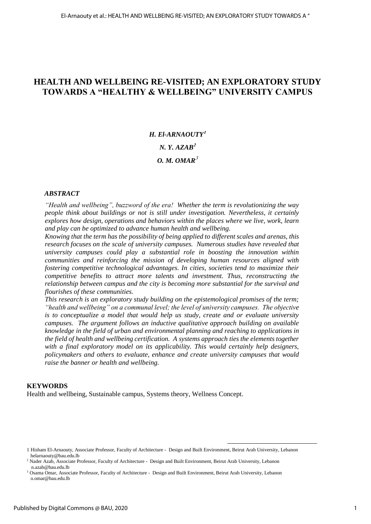# **HEALTH AND WELLBEING RE-VISITED; AN EXPLORATORY STUDY TOWARDS A "HEALTHY & WELLBEING" UNIVERSITY CAMPUS**

# *H. El-ARNAOUTY<sup>1</sup> N. Y. AZAB<sup>2</sup> O. M. OMAR*<sup>3</sup>

#### *ABSTRACT*

*"Health and wellbeing", buzzword of the era! Whether the term is revolutionizing the way people think about buildings or not is still under investigation. Nevertheless, it certainly explores how design, operations and behaviors within the places where we live, work, learn and play can be optimized to advance human health and wellbeing.* 

*Knowing that the term has the possibility of being applied to different scales and arenas, this research focuses on the scale of university campuses. Numerous studies have revealed that university campuses could play a substantial role in boosting the innovation within communities and reinforcing the mission of developing human resources aligned with fostering competitive technological advantages. In cities, societies tend to maximize their competitive benefits to attract more talents and investment. Thus, reconstructing the relationship between campus and the city is becoming more substantial for the survival and flourishes of these communities.*

*This research is an exploratory study building on the epistemological promises of the term; "health and wellbeing" on a communal level; the level of university campuses. The objective is to conceptualize a model that would help us study, create and or evaluate university campuses. The argument follows an inductive qualitative approach building on available knowledge in the field of urban and environmental planning and reaching to applications in the field of health and wellbeing certification. A systems approach ties the elements together with a final exploratory model on its applicability. This would certainly help designers, policymakers and others to evaluate, enhance and create university campuses that would raise the banner or health and wellbeing.*

#### **KEYWORDS**

Health and wellbeing, Sustainable campus, Systems theory, Wellness Concept.

<u>.</u>

<sup>1</sup> Hisham El-Arnaouty, Associate Professor, Faculty of Architecture - Design and Built Environment, Beirut Arab University, Lebanon helarnaouty@bau.edu.lb

<sup>2</sup> Nader Azab, Associate Professor, Faculty of Architecture - Design and Built Environment, Beirut Arab University, Lebanon n.azab@bau.edu.lb

<sup>3</sup> Osama Omar, Associate Professor, Faculty of Architecture - Design and Built Environment, Beirut Arab University, Lebanon o.omar@bau.edu.lb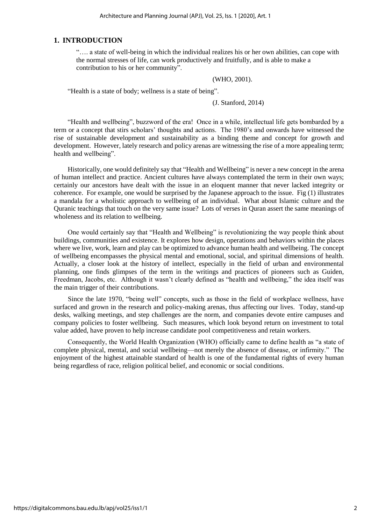#### **1. INTRODUCTION**

"…. a state of well-being in which the individual realizes his or her own abilities, can cope with the normal stresses of life, can work productively and fruitfully, and is able to make a contribution to his or her community".

(WHO, 2001).

"Health is a state of body; wellness is a state of being".

(J. Stanford, 2014)

"Health and wellbeing", buzzword of the era! Once in a while, intellectual life gets bombarded by a term or a concept that stirs scholars' thoughts and actions. The 1980's and onwards have witnessed the rise of sustainable development and sustainability as a binding theme and concept for growth and development. However, lately research and policy arenas are witnessing the rise of a more appealing term; health and wellbeing".

Historically, one would definitely say that "Health and Wellbeing" is never a new concept in the arena of human intellect and practice. Ancient cultures have always contemplated the term in their own ways; certainly our ancestors have dealt with the issue in an eloquent manner that never lacked integrity or coherence. For example, one would be surprised by the Japanese approach to the issue. Fig (1) illustrates a mandala for a wholistic approach to wellbeing of an individual. What about Islamic culture and the Quranic teachings that touch on the very same issue? Lots of verses in Quran assert the same meanings of wholeness and its relation to wellbeing.

One would certainly say that "Health and Wellbeing" is revolutionizing the way people think about buildings, communities and existence. It explores how design, operations and behaviors within the places where we live, work, learn and play can be optimized to advance human health and wellbeing. The concept of wellbeing encompasses the physical mental and emotional, social, and spiritual dimensions of health. Actually, a closer look at the history of intellect, especially in the field of urban and environmental planning, one finds glimpses of the term in the writings and practices of pioneers such as Guiden, Freedman, Jacobs, etc. Although it wasn't clearly defined as "health and wellbeing," the idea itself was the main trigger of their contributions.

Since the late 1970, "being well" concepts, such as those in the field of workplace wellness, have surfaced and grown in the research and policy-making arenas, thus affecting our lives. Today, stand-up desks, walking meetings, and step challenges are the norm, and companies devote entire campuses and company policies to foster wellbeing. Such measures, which look beyond return on investment to total value added, have proven to help increase candidate pool competitiveness and retain workers.

 Consequently, the World Health Organization (WHO) officially came to define health as "a state of complete physical, mental, and social wellbeing—not merely the absence of disease, or infirmity." The enjoyment of the highest attainable standard of health is one of the fundamental rights of every human being regardless of race, religion political belief, and economic or social conditions.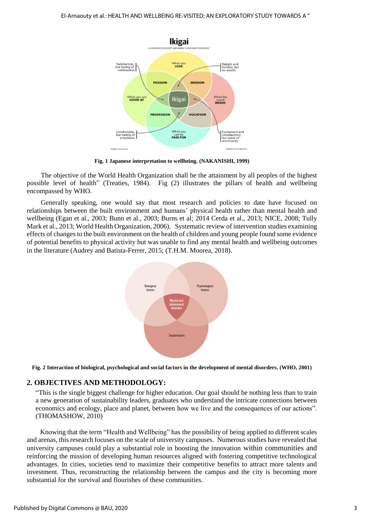

**Fig. 1 Japanese interpretation to wellbeing. (NAKANISHI, 1999)**

The objective of the World Health Organization shall be the attainment by all peoples of the highest possible level of health" (Treaties, 1984). Fig (2) illustrates the pillars of health and wellbeing encompassed by WHO.

Generally speaking, one would say that most research and policies to date have focused on relationships between the built environment and humans' physical health rather than mental health and wellbeing (Egan et al., 2003; Bunn et al., 2003; Burns et al; 2014 Cerda et al., 2013; NICE, 2008; Tully Mark et al., 2013; World Health Organization, 2006). Systematic review of intervention studies examining effects of changes to the built environment on the health of children and young people found some evidence of potential benefits to physical activity but was unable to find any mental health and wellbeing outcomes in the literature (Audrey and Batista-Ferrer, 2015; (T.H.M. Moorea, 2018).



**Fig. 2 Interaction of biological, psychological and social factors in the development of mental disorders. (WHO, 2001)**

#### **2. OBJECTIVES AND METHODOLOGY:**

"This is the single biggest challenge for higher education. Our goal should be nothing less than to train a new generation of sustainability leaders, graduates who understand the intricate connections between economics and ecology, place and planet, between how we live and the consequences of our actions". (THOMASHOW, 2010)

Knowing that the term "Health and Wellbeing" has the possibility of being applied to different scales and arenas, this research focuses on the scale of university campuses. Numerous studies have revealed that university campuses could play a substantial role in boosting the innovation within communities and reinforcing the mission of developing human resources aligned with fostering competitive technological advantages. In cities, societies tend to maximize their competitive benefits to attract more talents and investment. Thus, reconstructing the relationship between the campus and the city is becoming more substantial for the survival and flourishes of these communities.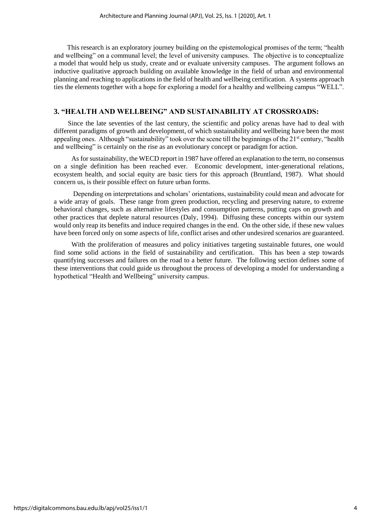This research is an exploratory journey building on the epistemological promises of the term; "health and wellbeing" on a communal level; the level of university campuses. The objective is to conceptualize a model that would help us study, create and or evaluate university campuses. The argument follows an inductive qualitative approach building on available knowledge in the field of urban and environmental planning and reaching to applications in the field of health and wellbeing certification. A systems approach ties the elements together with a hope for exploring a model for a healthy and wellbeing campus "WELL".

# **3. "HEALTH AND WELLBEING" AND SUSTAINABILITY AT CROSSROADS:**

Since the late seventies of the last century, the scientific and policy arenas have had to deal with different paradigms of growth and development, of which sustainability and wellbeing have been the most appealing ones. Although "sustainability" took over the scene till the beginnings of the 21<sup>st</sup> century, "health and wellbeing" is certainly on the rise as an evolutionary concept or paradigm for action.

As for sustainability, the WECD report in 1987 have offered an explanation to the term, no consensus on a single definition has been reached ever. Economic development, inter-generational relations, ecosystem health, and social equity are basic tiers for this approach (Bruntland, 1987). What should concern us, is their possible effect on future urban forms.

Depending on interpretations and scholars' orientations, sustainability could mean and advocate for a wide array of goals. These range from green production, recycling and preserving nature, to extreme behavioral changes, such as alternative lifestyles and consumption patterns, putting caps on growth and other practices that deplete natural resources (Daly, 1994). Diffusing these concepts within our system would only reap its benefits and induce required changes in the end. On the other side, if these new values have been forced only on some aspects of life, conflict arises and other undesired scenarios are guaranteed.

With the proliferation of measures and policy initiatives targeting sustainable futures, one would find some solid actions in the field of sustainability and certification. This has been a step towards quantifying successes and failures on the road to a better future. The following section defines some of these interventions that could guide us throughout the process of developing a model for understanding a hypothetical "Health and Wellbeing" university campus.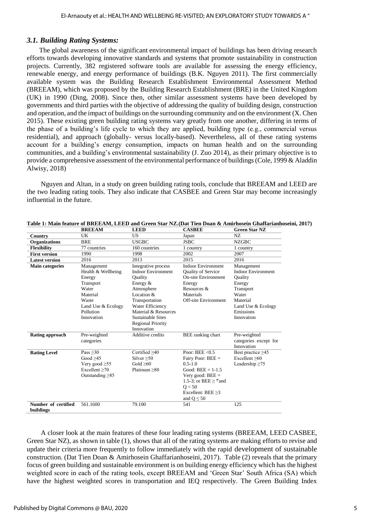# *3.1. Building Rating Systems:*

The global awareness of the significant environmental impact of buildings has been driving research efforts towards developing innovative standards and systems that promote sustainability in construction projects. Currently, 382 registered software tools are available for assessing the energy efficiency, renewable energy, and energy performance of buildings (B.K. Nguyen 2011). The first commercially available system was the Building Research Establishment Environmental Assessment Method (BREEAM), which was proposed by the Building Research Establishment (BRE) in the United Kingdom (UK) in 1990 (Ding, 2008). Since then, other similar assessment systems have been developed by governments and third parties with the objective of addressing the quality of building design, construction and operation, and the impact of buildings on the surrounding community and on the environment (X. Chen 2015). These existing green building rating systems vary greatly from one another, differing in terms of the phase of a building's life cycle to which they are applied, building type (e.g., commercial versus residential), and approach (globally- versus locally-based). Nevertheless, all of these rating systems account for a building's energy consumption, impacts on human health and on the surrounding communities, and a building's environmental sustainability (J. Zuo 2014), as their primary objective is to provide a comprehensive assessment of the environmental performance of buildings (Cole, 1999 & Aladdin Alwisy, 2018)

Nguyen and Altan, in a study on green building rating tools, conclude that BREEAM and LEED are the two leading rating tools. They also indicate that CASBEE and Green Star may become increasingly influential in the future.

|                                  | <b>BREEAM</b>         | <b>LEED</b>               | <b>CASBEE</b>                                | <b>Green Star NZ</b>      |
|----------------------------------|-----------------------|---------------------------|----------------------------------------------|---------------------------|
| Country                          | UK                    | US                        | Japan                                        | NZ                        |
| Organizations                    | <b>BRE</b>            | <b>USGBC</b>              | <b>JSBC</b>                                  | <b>NZGBC</b>              |
| <b>Flexibility</b>               | 77 countries          | 160 countries             | 1 country                                    | 1 country                 |
| <b>First version</b>             | 1990                  | 1998                      | 2002                                         | 2007                      |
| <b>Latest version</b>            | 2016                  | 2013                      | 2015                                         | 2016                      |
| <b>Main categories</b>           | Management            | Integrative process       | <b>Indoor Environment</b>                    | Management                |
|                                  | Health & Wellbeing    | <b>Indoor Environment</b> | Quality of Service                           | <b>Indoor Environment</b> |
|                                  | Energy                | Quality                   | <b>On-site Environment</b>                   | Quality                   |
|                                  | Transport             | Energy $&$                | Energy                                       | Energy                    |
|                                  | Water                 | Atmosphere                | Resources &                                  | Transport                 |
|                                  | Material              | Location &                | Materials                                    | Water                     |
|                                  | Waste                 | Transportation            | <b>Off-site Environment</b>                  | Material                  |
|                                  | Land Use & Ecology    | Water Efficiency          |                                              | Land Use & Ecology        |
|                                  | Pollution             | Material & Resources      |                                              | Emissions                 |
|                                  | Innovation            | Sustainable Sites         |                                              | Innovation                |
|                                  |                       | <b>Regional Priority</b>  |                                              |                           |
|                                  |                       | Innovation                |                                              |                           |
| <b>Rating approach</b>           | Pre-weighted          | Additive credits          | BEE ranking chart                            | Pre-weighted              |
|                                  | categories            |                           |                                              | categories except for     |
|                                  |                       |                           |                                              | Innovation                |
| <b>Rating Level</b>              | Pass $>30$            | Certified $>40$           | Poor: $BEE < 0.5$                            | Best practice $\geq 45$   |
|                                  | Good $>45$            | Silver > 50               | Fairy Poor: $BEE =$                          | Excellent >60             |
|                                  | Very good $\geq 55$   | Gold $>60$                | $0.5 - 1.0$                                  | Leadership $\geq 75$      |
|                                  | Excellent > 70        | Platinum $>80$            | Good: $BEE = 1-1.5$                          |                           |
|                                  | Outstanding $\geq 85$ |                           | Very good: $BEE =$                           |                           |
|                                  |                       |                           | 1.5-3; or BEE $\geq$ $\text{\texttt{v}}$ and |                           |
|                                  |                       |                           | O < 50                                       |                           |
|                                  |                       |                           | Excellent: $BEE \geq 3$                      |                           |
|                                  |                       |                           | and $Q \leq 50$                              |                           |
| Number of certified<br>buildings | 561.1600              | 79.100                    | 541                                          | 125                       |

|               |              |             | Table 1: Main feature of BREEAM. LEED and Green Star NZ.(Dat Tien Doan & Amirhosein Ghaffarianhoseini. 2017) |  |
|---------------|--------------|-------------|--------------------------------------------------------------------------------------------------------------|--|
| <b>DDEEAM</b> | <b>I EED</b> | $C$ a ciner | $\alpha$ . $\alpha$ . Note                                                                                   |  |

A closer look at the main features of these four leading rating systems (BREEAM, LEED CASBEE, Green Star NZ), as shown in table (1), shows that all of the rating systems are making efforts to revise and update their criteria more frequently to follow immediately with the rapid development of sustainable construction. (Dat Tien Doan & Amirhosein Ghaffarianhoseini, 2017). Table (2) reveals that the primary focus of green building and sustainable environment is on building energy efficiency which has the highest weighted score in each of the rating tools, except BREEAM and 'Green Star' South Africa (SA) which have the highest weighted scores in transportation and IEQ respectively. The Green Building Index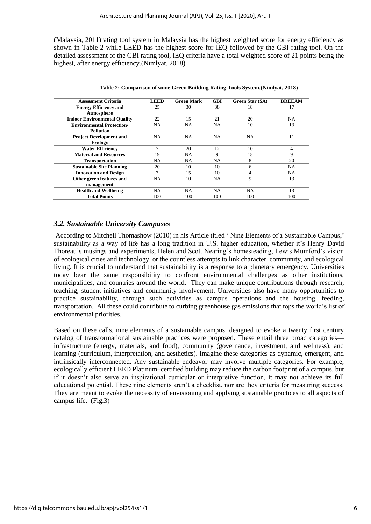(Malaysia, 2011)rating tool system in Malaysia has the highest weighted score for energy efficiency as shown in Table 2 while LEED has the highest score for IEQ followed by the GBI rating tool. On the detailed assessment of the GBI rating tool, IEQ criteria have a total weighted score of 21 points being the highest, after energy efficiency.(Nimlyat, 2018)

| <b>Assessment Criteria</b>          | <b>LEED</b> | <b>Green Mark</b> | <b>GBI</b> | <b>Green Star (SA)</b> | <b>BREEAM</b> |
|-------------------------------------|-------------|-------------------|------------|------------------------|---------------|
| <b>Energy Efficiency and</b>        | 25          | 30                | 38         | 18                     | 17            |
| Atmosphere                          |             |                   |            |                        |               |
| <b>Indoor Environmental Quality</b> | 22          | 15                | 21         | 20                     | NA.           |
| <b>Environmental Protection/</b>    | <b>NA</b>   | NA.               | NA.        | 10                     | 13            |
| <b>Pollution</b>                    |             |                   |            |                        |               |
| <b>Project Development and</b>      | NA          | <b>NA</b>         | NA         | NA                     | 11            |
| <b>Ecology</b>                      |             |                   |            |                        |               |
| <b>Water Efficiency</b>             | 7           | 20                | 12         | 10                     | 4             |
| <b>Material and Resources</b>       | 19          | NA.               | 9          | 15                     | 9             |
| <b>Transportation</b>               | NA          | NA.               | NA.        | 8                      | 20            |
| <b>Sustainable Site Planning</b>    | 20          | 10                | 10         | 6                      | <b>NA</b>     |
| <b>Innovation and Design</b>        | 7           | 15                | 10         | 4                      | <b>NA</b>     |
| Other green features and            | NA          | 10                | <b>NA</b>  | 9                      | 13            |
| management                          |             |                   |            |                        |               |
| <b>Health and Wellbeing</b>         | NA          | NA.               | <b>NA</b>  | NA.                    | 13            |
| <b>Total Points</b>                 | 100         | 100               | 100        | 100                    | 100           |

**Table 2: Comparison of some Green Building Rating Tools System.(Nimlyat, 2018)**

## *3.2. Sustainable University Campuses*

According to Mitchell Thomashow (2010) in his Article titled ' Nine Elements of a Sustainable Campus,' sustainability as a way of life has a long tradition in U.S. higher education, whether it's Henry David Thoreau's musings and experiments, Helen and Scott Nearing's homesteading, Lewis Mumford's vision of ecological cities and technology, or the countless attempts to link character, community, and ecological living. It is crucial to understand that sustainability is a response to a planetary emergency. Universities today bear the same responsibility to confront environmental challenges as other institutions, municipalities, and countries around the world. They can make unique contributions through research, teaching, student initiatives and community involvement. Universities also have many opportunities to practice sustainability, through such activities as campus operations and the housing, feeding, transportation. All these could contribute to curbing greenhouse gas emissions that tops the world's list of environmental priorities.

Based on these calls, nine elements of a sustainable campus, designed to evoke a twenty first century catalog of transformational sustainable practices were proposed. These entail three broad categories infrastructure (energy, materials, and food), community (governance, investment, and wellness), and learning (curriculum, interpretation, and aesthetics). Imagine these categories as dynamic, emergent, and intrinsically interconnected. Any sustainable endeavor may involve multiple categories. For example, ecologically efficient LEED Platinum–certified building may reduce the carbon footprint of a campus, but if it doesn't also serve an inspirational curricular or interpretive function, it may not achieve its full educational potential. These nine elements aren't a checklist, nor are they criteria for measuring success. They are meant to evoke the necessity of envisioning and applying sustainable practices to all aspects of campus life. (Fig.3)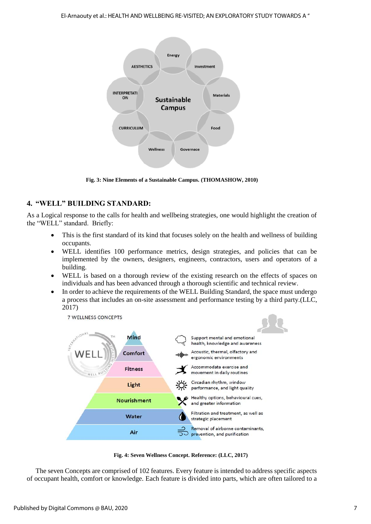

**Fig. 3: Nine Elements of a Sustainable Campus. (THOMASHOW, 2010)**

# **4. "WELL" BUILDING STANDARD:**

As a Logical response to the calls for health and wellbeing strategies, one would highlight the creation of the "WELL" standard. Briefly:

- This is the first standard of its kind that focuses solely on the health and wellness of building occupants.
- WELL identifies 100 performance metrics, design strategies, and policies that can be implemented by the owners, designers, engineers, contractors, users and operators of a building.
- WELL is based on a thorough review of the existing research on the effects of spaces on individuals and has been advanced through a thorough scientific and technical review.
- In order to achieve the requirements of the WELL Building Standard, the space must undergo a process that includes an on-site assessment and performance testing by a third party.(LLC, 2017)



**Fig. 4: Seven Wellness Concept. Reference: (LLC, 2017)**

The seven Concepts are comprised of 102 features. Every feature is intended to address specific aspects of occupant health, comfort or knowledge. Each feature is divided into parts, which are often tailored to a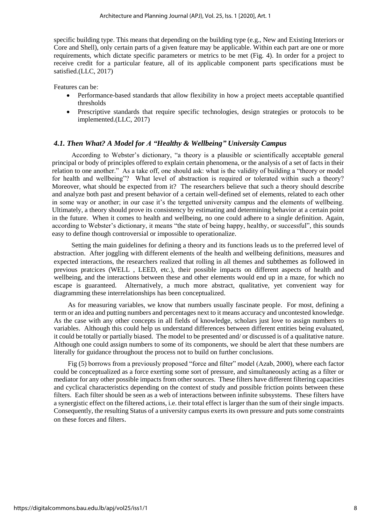specific building type. This means that depending on the building type (e.g., New and Existing Interiors or Core and Shell), only certain parts of a given feature may be applicable. Within each part are one or more requirements, which dictate specific parameters or metrics to be met (Fig. 4). In order for a project to receive credit for a particular feature, all of its applicable component parts specifications must be satisfied.(LLC, 2017)

Features can be:

- Performance-based standards that allow flexibility in how a project meets acceptable quantified thresholds
- Prescriptive standards that require specific technologies, design strategies or protocols to be implemented.(LLC, 2017)

#### *4.1. Then What? A Model for A "Healthy & Wellbeing" University Campus*

According to Webster's dictionary, "a theory is a plausible or scientifically acceptable general principal or body of principles offered to explain certain phenomena, or the analysis of a set of facts in their relation to one another." As a take off, one should ask: what is the validity of building a "theory or model for health and wellbeing"? What level of abstraction is required or tolerated within such a theory? Moreover, what should be expected from it? The researchers believe that such a theory should describe and analyze both past and present behavior of a certain well-defined set of elements, related to each other in some way or another; in our case it's the tergetted university campus and the elements of wellbeing. Ultimately, a theory should prove its consistency by estimating and determining behavior at a certain point in the future. When it comes to health and wellbeing, no one could adhere to a single definition. Again, according to Webster's dictionary, it means "the state of being happy, healthy, or successful", this sounds easy to define though controversial or impossible to operationalize.

Setting the main guidelines for defining a theory and its functions leads us to the preferred level of abstraction. After joggling with different elements of the health and wellbeing definitions, measures and expected interactions, the researchers realized that rolling in all themes and subthemes as followed in previous pratcices (WELL , LEED, etc.), their possible impacts on different aspects of health and wellbeing, and the interactions between these and other elements would end up in a maze, for which no escape is guaranteed. Alternatively, a much more abstract, qualitative, yet convenient way for diagramming these interrelationships has been conceptualized.

As for measuring variables, we know that numbers usually fascinate people. For most, defining a term or an idea and putting numbers and percentages next to it means accuracy and uncontested knowledge. As the case with any other concepts in all fields of knowledge, scholars just love to assign numbers to variables. Although this could help us understand differences between different entities being evaluated, it could be totally or partially biased. The model to be presented and/ or discussed is of a qualitative nature. Although one could assign numbers to some of its components, we should be alert that these numbers are literally for guidance throughout the process not to build on further conclusions.

Fig (5) borrows from a previously proposed "force and filter" model (Azab, 2000), where each factor could be conceptualized as a force exerting some sort of pressure, and simultaneously acting as a filter or mediator for any other possible impacts from other sources. These filters have different filtering capacities and cyclical characteristics depending on the context of study and possible friction points between these filters. Each filter should be seen as a web of interactions between infinite subsystems. These filters have a synergistic effect on the filtered actions, i.e. their total effect is larger than the sum of their single impacts. Consequently, the resulting Status of a university campus exerts its own pressure and puts some constraints on these forces and filters.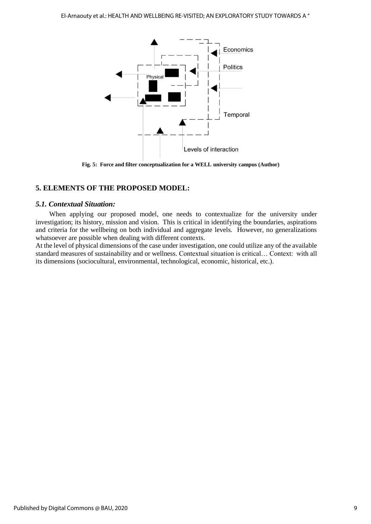

**Fig. 5: Force and filter conceptualization for a WELL university campus (Author)**

# **5. ELEMENTS OF THE PROPOSED MODEL:**

## *5.1. Contextual Situation:*

When applying our proposed model, one needs to contextualize for the university under investigation; its history, mission and vision. This is critical in identifying the boundaries, aspirations and criteria for the wellbeing on both individual and aggregate levels. However, no generalizations whatsoever are possible when dealing with different contexts.

At the level of physical dimensions of the case under investigation, one could utilize any of the available standard measures of sustainability and or wellness. Contextual situation is critical… Context: with all its dimensions (sociocultural, environmental, technological, economic, historical, etc.).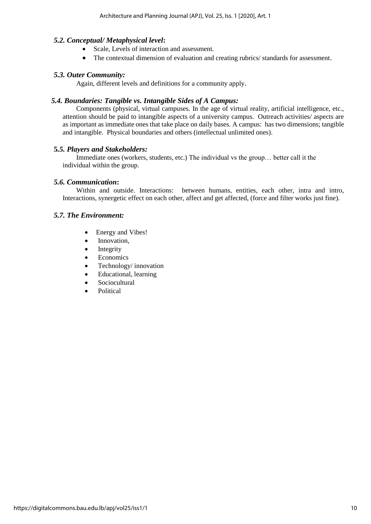# *5.2. Conceptual/ Metaphysical level***:**

- Scale, Levels of interaction and assessment.
- The contextual dimension of evaluation and creating rubrics/ standards for assessment.

# *5.3. Outer Community:*

Again, different levels and definitions for a community apply.

# *5.4. Boundaries: Tangible vs. Intangible Sides of A Campus:*

Components (physical, virtual campuses. In the age of virtual reality, artificial intelligence, etc., attention should be paid to intangible aspects of a university campus. Outreach activities/ aspects are as important as immediate ones that take place on daily bases. A campus: has two dimensions; tangible and intangible. Physical boundaries and others (intellectual unlimited ones).

# **5***.5. Players and Stakeholders:*

Immediate ones (workers, students, etc.) The individual vs the group… better call it the individual within the group.

## *5.6. Communication***:**

Within and outside. Interactions: between humans, entities, each other, intra and intro, Interactions, synergetic effect on each other, affect and get affected, (force and filter works just fine).

## *5.7. The Environment:*

- Energy and Vibes!
- Innovation,
- $\bullet$  Integrity
- Economics
- Technology/ innovation
- Educational, learning
- Sociocultural
- Political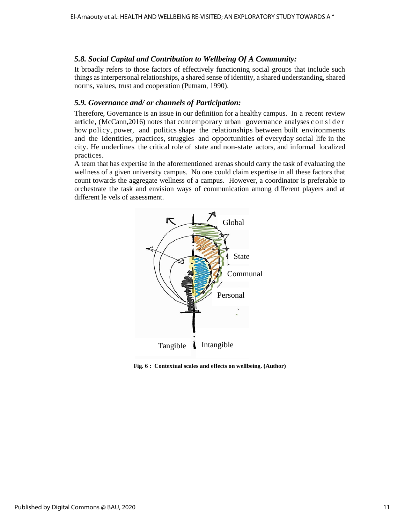# *5.8. Social Capital and Contribution to Wellbeing Of A Community:*

It broadly refers to those factors of effectively functioning social groups that include such things as interpersonal relationships, a shared sense of identity, a shared understanding, shared norms, values, trust and cooperation (Putnam, 1990).

# *5.9. Governance and/ or channels of Participation:*

Therefore, Governance is an issue in our definition for a healthy campus. In a recent review article, (McCann,2016) notes that contemporary urban governance analyses c o n s i d e r how policy, power, and politics shape the relationships between built environments and the identities, practices, struggles and opportunities of everyday social life in the city. He underlines the critical role of state and non-state actors, and informal localized practices.

A team that has expertise in the aforementioned arenas should carry the task of evaluating the wellness of a given university campus. No one could claim expertise in all these factors that count towards the aggregate wellness of a campus. However, a coordinator is preferable to orchestrate the task and envision ways of communication among different players and at different le vels of assessment.



**Fig. 6 : Contextual scales and effects on wellbeing. (Author)**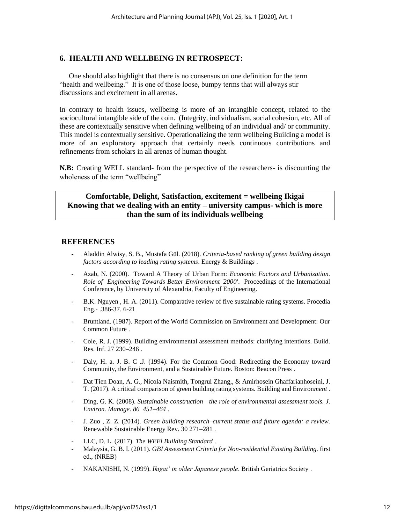# **6. HEALTH AND WELLBEING IN RETROSPECT:**

One should also highlight that there is no consensus on one definition for the term "health and wellbeing." It is one of those loose, bumpy terms that will always stir discussions and excitement in all arenas.

In contrary to health issues, wellbeing is more of an intangible concept, related to the sociocultural intangible side of the coin. (Integrity, individualism, social cohesion, etc. All of these are contextually sensitive when defining wellbeing of an individual and/ or community. This model is contextually sensitive. Operationalizing the term wellbeing Building a model is more of an exploratory approach that certainly needs continuous contributions and refinements from scholars in all arenas of human thought.

**N.B:** Creating WELL standard- from the perspective of the researchers- is discounting the wholeness of the term "wellbeing"

# **Comfortable, Delight, Satisfaction, excitement = wellbeing Ikigai Knowing that we dealing with an entity – university campus- which is more than the sum of its individuals wellbeing**

#### **REFERENCES**

- Aladdin Alwisy, S. B., Mustafa Gül. (2018). *Criteria-based ranking of green building design factors according to leading rating systems*. Energy & Building*s* .
- Azab, N. (2000). Toward A Theory of Urban Form: *Economic Factors and Urbanization. Role of Engineering Towards Better Environment '2000'*. Proceedings of the International Conference, by University of Alexandria, Faculty of Engineering.
- B.K. Nguyen , H. A. (2011). Comparative review of five sustainable rating systems. Procedia Eng.- .386-37. 6-21
- Bruntland. (1987). Report of the World Commission on Environment and Development: Our Common Future .
- Cole, R. J. (1999). Building environmental assessment methods: clarifying intentions. Build. Res. Inf. 27 230–246 .
- Daly, H. a. J. B. C .J. (1994). For the Common Good: Redirecting the Economy toward Community, the Environment, and a Sustainable Future. Boston: Beacon Press .
- Dat Tien Doan, A. G., Nicola Naismith, Tongrui Zhang,, & Amirhosein Ghaffarianhoseini, J. T. (2017). A critical comparison of green building rating systems. Building and Environ*ment* .
- Ding, G. K. (2008). *Sustainable construction—the role of environmental assessment tools. J. Environ. Manage. 86 451–464* .
- J. Zuo , Z. Z. (2014). *Green building research–current status and future agenda: a review.*  Renewable Sustainable Energy Rev. 30 271–281 .
- LLC, D. L. (2017). *The WEEl Building Standard* .
- Malaysia, G. B. I. (2011). *GBI Assessment Criteria for Non-residential Existing Building.* first ed., (NREB)
- NAKANISHI, N. (1999). *Ikigai' in older Japanese people*. British Geriatrics Society .